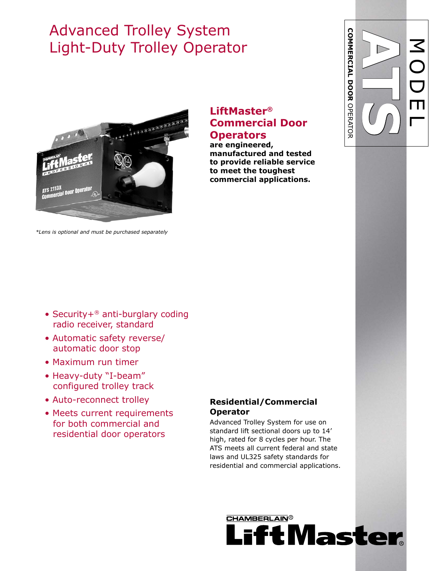# Advanced Trolley System Light-Duty Trolley Operator



*\*Lens is optional and must be purchased separately*

### **LiftMaster® Commercial Door Operators**

**are engineered, manufactured and tested to provide reliable service to meet the toughest commercial applications.**

- Security+® anti-burglary coding radio receiver, standard
- Automatic safety reverse/ automatic door stop
- Maximum run timer
- Heavy-duty "I-beam" configured trolley track
- Auto-reconnect trolley
- Meets current requirements for both commercial and residential door operators

#### **Residential/Commercial Operator**

Advanced Trolley System for use on standard lift sectional doors up to 14' high, rated for 8 cycles per hour. The ATS meets all current federal and state laws and UL325 safety standards for residential and commercial applications.